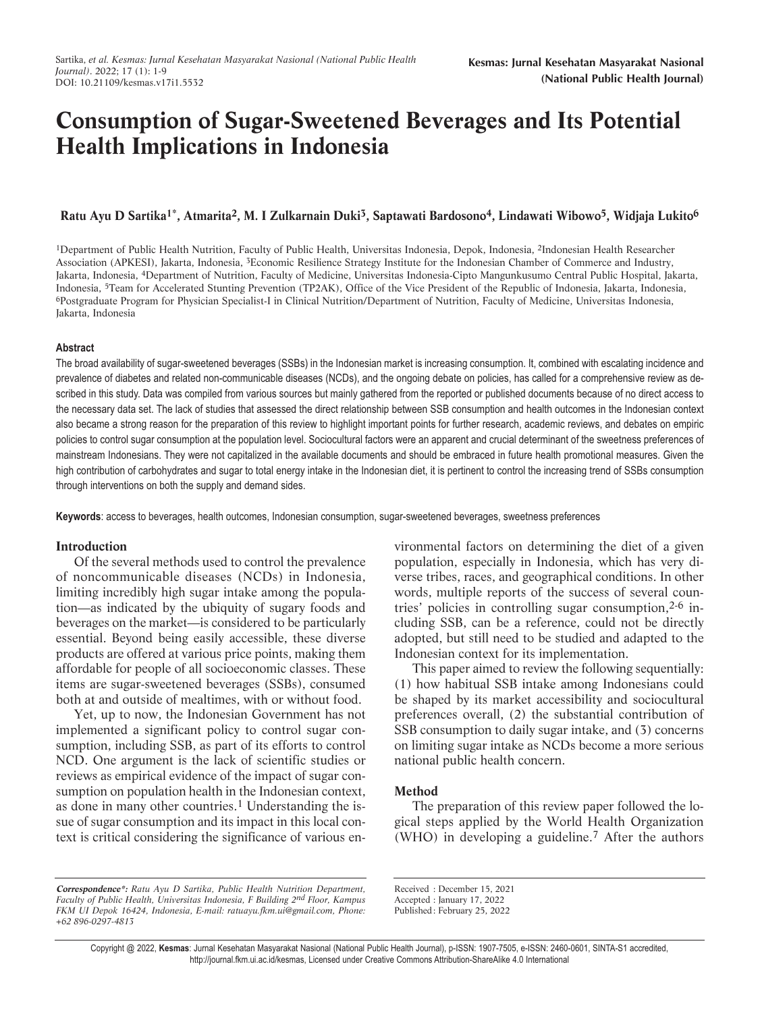# **Consumption of Sugar-Sweetened Beverages and Its Potential Health Implications in Indonesia**

# **Ratu Ayu D Sartika1\*, Atmarita2, M. I Zulkarnain Duki3, Saptawati Bardosono4, Lindawati Wibowo5, Widjaja Lukito6**

1Department of Public Health Nutrition, Faculty of Public Health, Universitas Indonesia, Depok, Indonesia, 2Indonesian Health Researcher Association (APKESI), Jakarta, Indonesia, 3Economic Resilience Strategy Institute for the Indonesian Chamber of Commerce and Industry, Jakarta, Indonesia, 4Department of Nutrition, Faculty of Medicine, Universitas Indonesia-Cipto Mangunkusumo Central Public Hospital, Jakarta, Indonesia, 5Team for Accelerated Stunting Prevention (TP2AK), Office of the Vice President of the Republic of Indonesia, Jakarta, Indonesia, 6Postgraduate Program for Physician Specialist-I in Clinical Nutrition/Department of Nutrition, Faculty of Medicine, Universitas Indonesia, Jakarta, Indonesia

## **Abstract**

The broad availability of sugar-sweetened beverages (SSBs) in the Indonesian market is increasing consumption. It, combined with escalating incidence and prevalence of diabetes and related non-communicable diseases (NCDs), and the ongoing debate on policies, has called for a comprehensive review as described in this study. Data was compiled from various sources but mainly gathered from the reported or published documents because of no direct access to the necessary data set. The lack of studies that assessed the direct relationship between SSB consumption and health outcomes in the Indonesian context also became a strong reason for the preparation of this review to highlight important points for further research, academic reviews, and debates on empiric policies to control sugar consumption at the population level. Sociocultural factors were an apparent and crucial determinant of the sweetness preferences of mainstream Indonesians. They were not capitalized in the available documents and should be embraced in future health promotional measures. Given the high contribution of carbohydrates and sugar to total energy intake in the Indonesian diet, it is pertinent to control the increasing trend of SSBs consumption through interventions on both the supply and demand sides.

**Keywords**: access to beverages, health outcomes, Indonesian consumption, sugar-sweetened beverages, sweetness preferences

## **Introduction**

Of the several methods used to control the prevalence of noncommunicable diseases (NCDs) in Indonesia, limiting incredibly high sugar intake among the population—as indicated by the ubiquity of sugary foods and beverages on the market—is considered to be particularly essential. Beyond being easily accessible, these diverse products are offered at various price points, making them affordable for people of all socioeconomic classes. These items are sugar-sweetened beverages (SSBs), consumed both at and outside of mealtimes, with or without food.

Yet, up to now, the Indonesian Government has not implemented a significant policy to control sugar consumption, including SSB, as part of its efforts to control NCD. One argument is the lack of scientific studies or reviews as empirical evidence of the impact of sugar consumption on population health in the Indonesian context, as done in many other countries.<sup>[1](#page-6-0)</sup> Understanding the issue of sugar consumption and its impact in this local context is critical considering the significance of various environmental factors on determining the diet of a given population, especially in Indonesia, which has very diverse tribes, races, and geographical conditions. In other words, multiple reports of the success of several countries' policies in controlling sugar consumption,  $2-6$  including SSB, can be a reference, could not be directly adopted, but still need to be studied and adapted to the Indonesian context for its implementation.

This paper aimed to review the following sequentially: (1) how habitual SSB intake among Indonesians could be shaped by its market accessibility and sociocultural preferences overall, (2) the substantial contribution of SSB consumption to daily sugar intake, and (3) concerns on limiting sugar intake as NCDs become a more serious national public health concern.

## **Method**

The preparation of this review paper followed the logical steps applied by the World Health Organization (WHO) in developing a guideline.[7](#page-6-0) After the authors

Received : December 15, 2021

Copyright @ 2022, **Kesmas**: Jurnal Kesehatan Masyarakat Nasional (National Public Health Journal), p-ISSN: 1907-7505, e-ISSN: 2460-0601, SINTA-S1 accredited, http://journal.fkm.ui.ac.id/kesmas, Licensed under Creative Commons Attribution-ShareAlike 4.0 International

**Correspondence\*:** *Ratu Ayu D Sartika, Public Health Nutrition Department, Faculty of Public Health, Universitas Indonesia, F Building 2nd Floor, Kampus FKM UI Depok 16424, Indonesia, E-mail: ratuayu.fkm.ui@gmail.com, Phone: +62 896-0297-4813*

Accepted : January 17, 2022 Published: February 25, 2022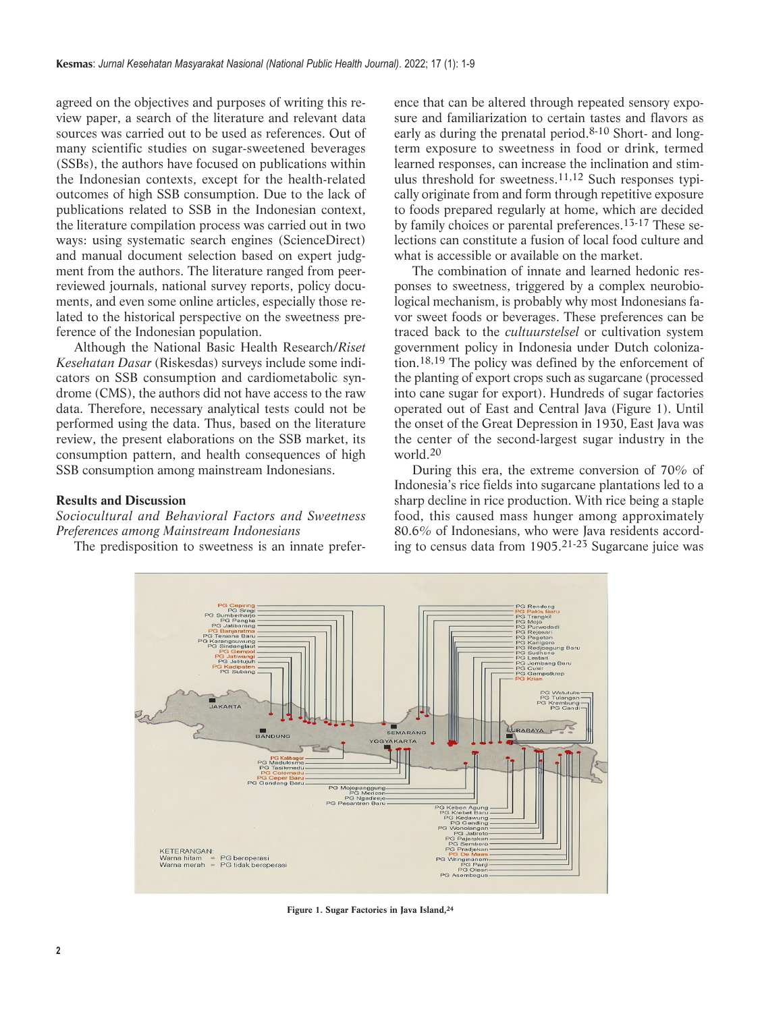<span id="page-1-0"></span>agreed on the objectives and purposes of writing this review paper, a search of the literature and relevant data sources was carried out to be used as references. Out of many scientific studies on sugar-sweetened beverages (SSBs), the authors have focused on publications within the Indonesian contexts, except for the health-related outcomes of high SSB consumption. Due to the lack of publications related to SSB in the Indonesian context, the literature compilation process was carried out in two ways: using systematic search engines (ScienceDirect) and manual document selection based on expert judgment from the authors. The literature ranged from peerreviewed journals, national survey reports, policy documents, and even some online articles, especially those related to the historical perspective on the sweetness preference of the Indonesian population.

Although the National Basic Health Research/*Riset Kesehatan Dasar* (Riskesdas) surveys include some indicators on SSB consumption and cardiometabolic syndrome (CMS), the authors did not have access to the raw data. Therefore, necessary analytical tests could not be performed using the data. Thus, based on the literature review, the present elaborations on the SSB market, its consumption pattern, and health consequences of high SSB consumption among mainstream Indonesians.

# **Results and Discussion**

*Sociocultural and Behavioral Factors and Sweetness Preferences among Mainstream Indonesians*

The predisposition to sweetness is an innate prefer-

ence that can be altered through repeated sensory exposure and familiarization to certain tastes and flavors as early as during the prenatal period[.8-10](#page-6-0) Short- and longterm exposure to sweetness in food or drink, termed learned responses, can increase the inclination and stimulus threshold for sweetness.[11,12](#page-6-0) Such responses typically originate from and form through repetitive exposure to foods prepared regularly at home, which are decided by family choices or parental preferences.[13-17](#page-6-0) These selections can constitute a fusion of local food culture and what is accessible or available on the market.

The combination of innate and learned hedonic responses to sweetness, triggered by a complex neurobiological mechanism, is probably why most Indonesians favor sweet foods or beverages. These preferences can be traced back to the *cultuurstelsel* or cultivation system government policy in Indonesia under Dutch colonization[.18,19](#page-6-0) The policy was defined by the enforcement of the planting of export crops such as sugarcane (processed into cane sugar for export). Hundreds of sugar factories operated out of East and Central Java [\(Figure 1\)](#page-1-0). Until the onset of the Great Depression in 1930, East Java was the center of the second-largest sugar industry in the world[.20](#page-6-0)

During this era, the extreme conversion of 70% of Indonesia's rice fields into sugarcane plantations led to a sharp decline in rice production. With rice being a staple food, this caused mass hunger among approximately 80.6% of Indonesians, who were Java residents according to census data from 1905[.21-23](#page-6-0) Sugarcane juice was



**[Figure 1.](#page-1-0) Sugar Factories in Java Island[,24](#page-6-0)**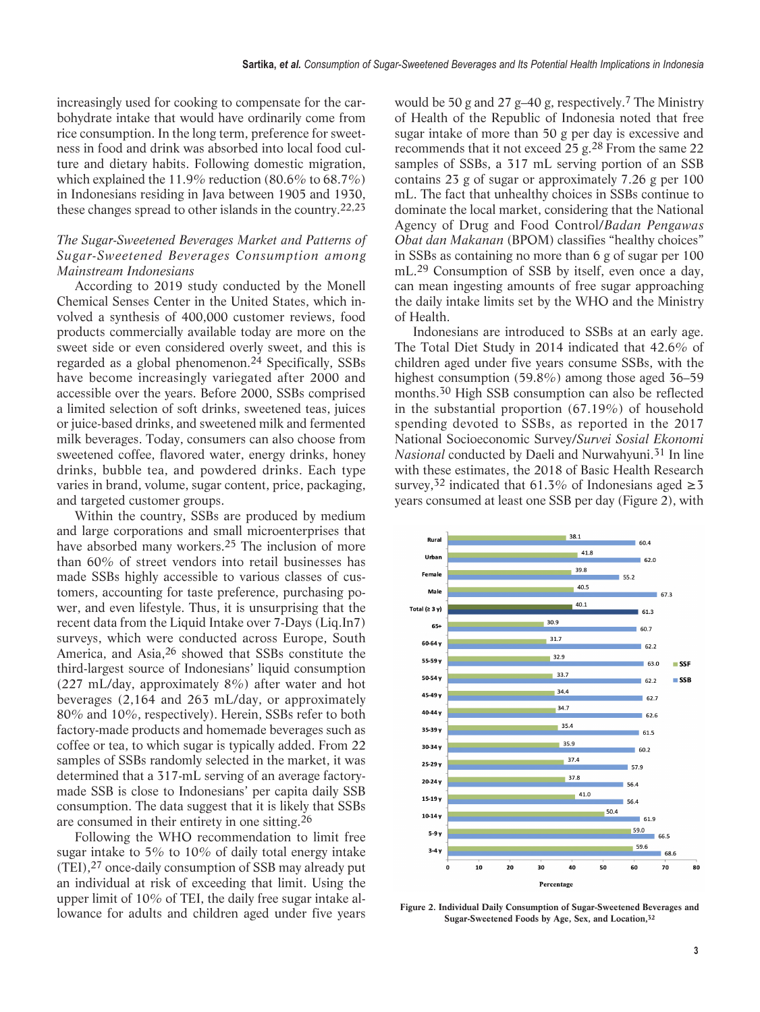<span id="page-2-0"></span>increasingly used for cooking to compensate for the carbohydrate intake that would have ordinarily come from rice consumption. In the long term, preference for sweetness in food and drink was absorbed into local food culture and dietary habits. Following domestic migration, which explained the 11.9% reduction (80.6% to 68.7%) in Indonesians residing in Java between 1905 and 1930, these changes spread to other islands in the country[.22,23](#page-6-0)

# *The Sugar-Sweetened Beverages Market and Patterns of Sugar-Sweetened Beverages Consumption among Mainstream Indonesians*

According to 2019 study conducted by the Monell Chemical Senses Center in the United States, which involved a synthesis of 400,000 customer reviews, food products commercially available today are more on the sweet side or even considered overly sweet, and this is regarded as a global phenomenon.[24](#page-6-0) Specifically, SSBs have become increasingly variegated after 2000 and accessible over the years. Before 2000, SSBs comprised a limited selection of soft drinks, sweetened teas, juices or juice-based drinks, and sweetened milk and fermented milk beverages. Today, consumers can also choose from sweetened coffee, flavored water, energy drinks, honey drinks, bubble tea, and powdered drinks. Each type varies in brand, volume, sugar content, price, packaging, and targeted customer groups.

Within the country, SSBs are produced by medium and large corporations and small microenterprises that have absorbed many workers.<sup>[25](#page-6-0)</sup> The inclusion of more than 60% of street vendors into retail businesses has made SSBs highly accessible to various classes of customers, accounting for taste preference, purchasing power, and even lifestyle. Thus, it is unsurprising that the recent data from the Liquid Intake over 7-Days (Liq.In7) surveys, which were conducted across Europe, South America, and Asia[,26](#page-6-0) showed that SSBs constitute the third-largest source of Indonesians' liquid consumption (227 mL/day, approximately  $8\%$ ) after water and hot beverages (2,164 and 263 mL/day, or approximately 80% and 10%, respectively). Herein, SSBs refer to both factory-made products and homemade beverages such as coffee or tea, to which sugar is typically added. From 22 samples of SSBs randomly selected in the market, it was determined that a 317-mL serving of an average factorymade SSB is close to Indonesians' per capita daily SSB consumption. The data suggest that it is likely that SSBs are consumed in their entirety in one sitting.[26](#page-6-0)

Following the WHO recommendation to limit free sugar intake to 5% to 10% of daily total energy intake (TEI)[,27](#page-6-0) once-daily consumption of SSB may already put an individual at risk of exceeding that limit. Using the upper limit of 10% of TEI, the daily free sugar intake allowance for adults and children aged under five years would be 50 g and 27 g–40 g, respectively.[7](#page-6-0) The Ministry of Health of the Republic of Indonesia noted that free sugar intake of more than 50 g per day is excessive and recommends that it not exceed 25 g.<sup>[28](#page-6-0)</sup> From the same 22 samples of SSBs, a 317 mL serving portion of an SSB contains 23 g of sugar or approximately 7.26 g per 100 mL. The fact that unhealthy choices in SSBs continue to dominate the local market, considering that the National Agency of Drug and Food Control/*Badan Pengawas Obat dan Makanan* (BPOM) classifies "healthy choices" in SSBs as containing no more than 6 g of sugar per 100 mL.<sup>29</sup> Consumption of SSB by itself, even once a day, can mean ingesting amounts of free sugar approaching the daily intake limits set by the WHO and the Ministry of Health.

Indonesians are introduced to SSBs at an early age. The Total Diet Study in 2014 indicated that 42.6% of children aged under five years consume SSBs, with the highest consumption (59.8%) among those aged 36–59 months[.30](#page-7-0) High SSB consumption can also be reflected in the substantial proportion (67.19%) of household spending devoted to SSBs, as reported in the 2017 National Socioeconomic Survey/*Survei Sosial Ekonomi Nasional* conducted by Daeli and Nurwahyuni.<sup>31</sup> In line with these estimates, the 2018 of Basic Health Research survey,<sup>32</sup> indicated that 61.3% of Indonesians aged  $\geq 3$ years consumed at least one SSB per day [\(Figure 2\)](#page-2-0), with



**[Figure 2.](#page-2-0) Individual Daily Consumption of Sugar-Sweetened Beverages and Sugar-Sweetened Foods by Age, Sex, and Location[,32](#page-7-0)**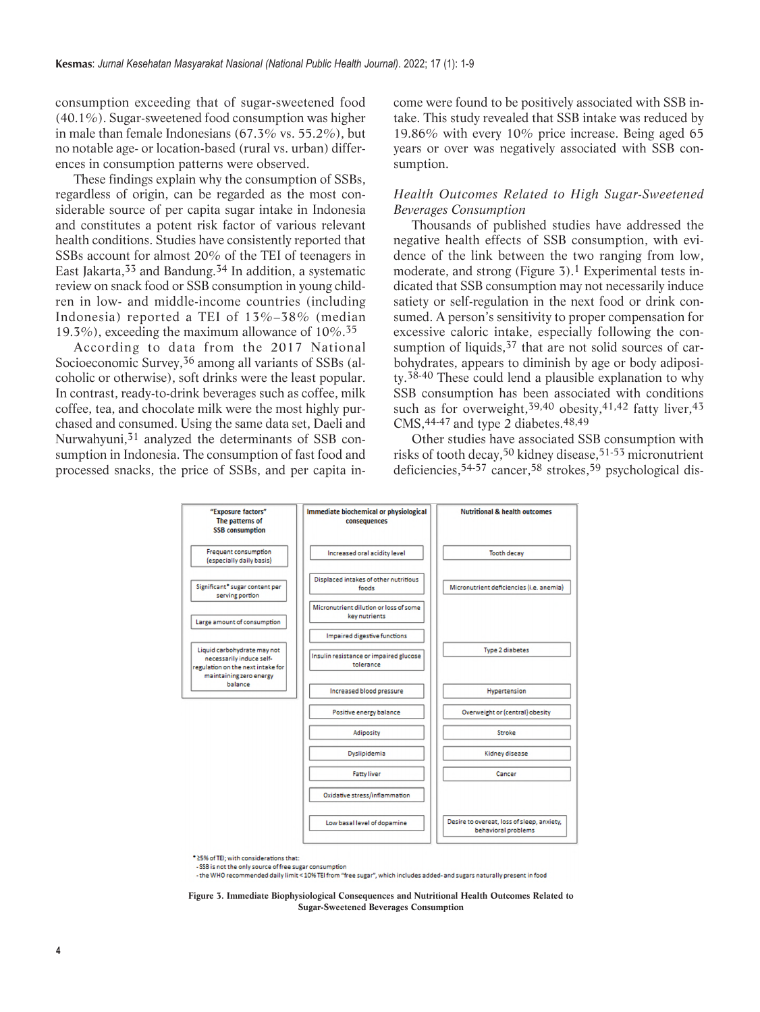consumption exceeding that of sugar-sweetened food (40.1%). Sugar-sweetened food consumption was higher in male than female Indonesians (67.3% vs. 55.2%), but no notable age- or location-based (rural vs. urban) differences in consumption patterns were observed.

These findings explain why the consumption of SSBs, regardless of origin, can be regarded as the most considerable source of per capita sugar intake in Indonesia and constitutes a potent risk factor of various relevant health conditions. Studies have consistently reported that SSBs account for almost 20% of the TEI of teenagers in East Jakarta,  $33$  and Bandung.  $34$  In addition, a systematic review on snack food or SSB consumption in young children in low- and middle-income countries (including Indonesia) reported a TEI of 13%–38% (median 19.3%), exceeding the maximum allowance of  $10\%$ .<sup>35</sup>

According to data from the 2017 National Socioeconomic Survey,[36](#page-7-0) among all variants of SSBs (alcoholic or otherwise), soft drinks were the least popular. In contrast, ready-to-drink beverages such as coffee, milk coffee, tea, and chocolate milk were the most highly purchased and consumed. Using the same data set, Daeli and Nurwahyuni,<sup>[31](#page-7-0)</sup> analyzed the determinants of SSB consumption in Indonesia. The consumption of fast food and processed snacks, the price of SSBs, and per capita income were found to be positively associated with SSB intake. This study revealed that SSB intake was reduced by 19.86% with every 10% price increase. Being aged 65 years or over was negatively associated with SSB consumption.

# *Health Outcomes Related to High Sugar-Sweetened Beverages Consumption*

Thousands of published studies have addressed the negative health effects of SSB consumption, with evidence of the link between the two ranging from low, moderate, and strong (Figure  $3$ ).<sup>1</sup> Experimental tests indicated that SSB consumption may not necessarily induce satiety or self-regulation in the next food or drink consumed. A person's sensitivity to proper compensation for excessive caloric intake, especially following the consumption of liquids,<sup>37</sup> that are not solid sources of carbohydrates, appears to diminish by age or body adiposity.[38-40](#page-7-0) These could lend a plausible explanation to why SSB consumption has been associated with conditions such as for overweight,<sup>[39,40](#page-7-0)</sup> obesity,<sup>[41,42](#page-7-0)</sup> fatty liver,<sup>[43](#page-7-0)</sup> CMS,  $44-47$  and type 2 diabetes.  $48,49$ 

Other studies have associated SSB consumption with risks of tooth decay,[50](#page-7-0) kidney disease[,51-53](#page-7-0) micronutrient deficiencies[,54-57](#page-7-0) cancer[,58](#page-7-0) strokes[,59](#page-7-0) psychological dis-



\*25% of TEI; with considerations that:

-SSB is not the only source of free sugar consumption

- the WHO recommended daily limit < 10% TEI from "free sugar", which includes added- and sugars naturally present in food

**Figure 3. Immediate Biophysiological Consequences and Nutritional Health Outcomes Related to Sugar-Sweetened Beverages Consumption**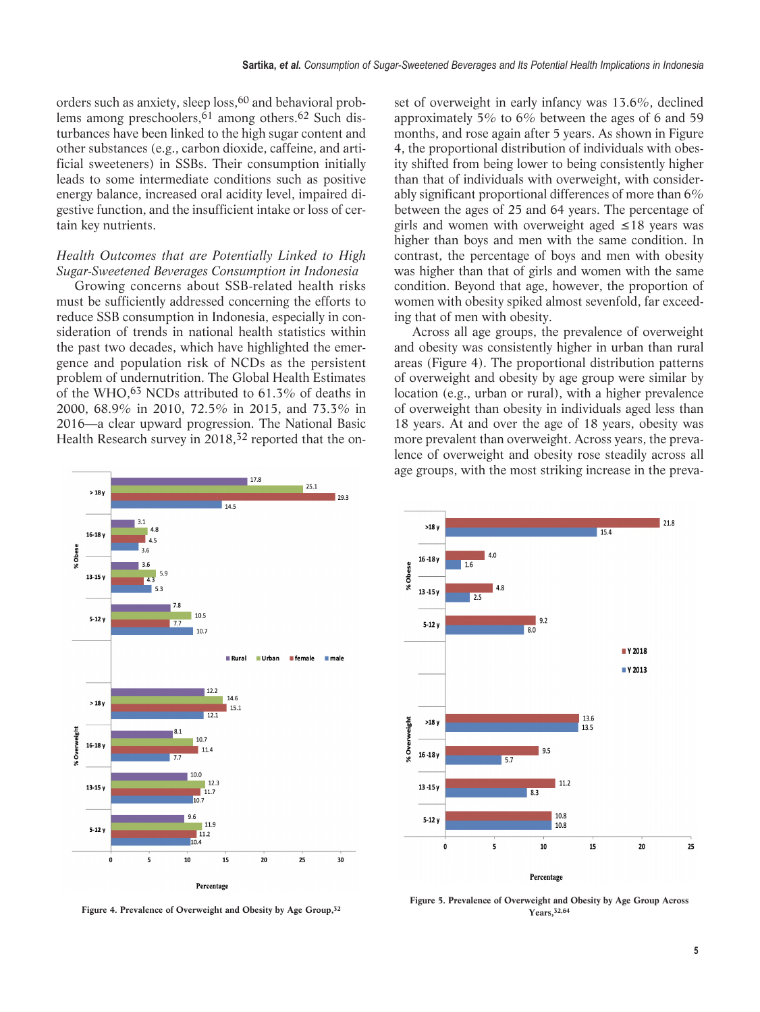<span id="page-4-0"></span>orders such as anxiety, sleep loss,[60](#page-7-0) and behavioral problems among preschoolers, $\overline{6}1$  among others.<sup>[62](#page-8-0)</sup> Such disturbances have been linked to the high sugar content and other substances (e.g., carbon dioxide, caffeine, and artificial sweeteners) in SSBs. Their consumption initially leads to some intermediate conditions such as positive energy balance, increased oral acidity level, impaired digestive function, and the insufficient intake or loss of certain key nutrients.

# *Health Outcomes that are Potentially Linked to High Sugar-Sweetened Beverages Consumption in Indonesia*

Growing concerns about SSB-related health risks must be sufficiently addressed concerning the efforts to reduce SSB consumption in Indonesia, especially in consideration of trends in national health statistics within the past two decades, which have highlighted the emergence and population risk of NCDs as the persistent problem of undernutrition. The Global Health Estimates of the WHO[,63](#page-8-0) NCDs attributed to 61.3% of deaths in 2000, 68.9% in 2010, 72.5% in 2015, and 73.3% in 2016—a clear upward progression. The National Basic Health Research survey in 2018,<sup>32</sup> reported that the on-



set of overweight in early infancy was 13.6%, declined approximately 5% to 6% between the ages of 6 and 59 months, and rose again after 5 years. As shown in [Figure](#page-4-0) [4,](#page-4-0) the proportional distribution of individuals with obesity shifted from being lower to being consistently higher than that of individuals with overweight, with considerably significant proportional differences of more than 6% between the ages of 25 and 64 years. The percentage of girls and women with overweight aged ≤18 years was higher than boys and men with the same condition. In contrast, the percentage of boys and men with obesity was higher than that of girls and women with the same condition. Beyond that age, however, the proportion of women with obesity spiked almost sevenfold, far exceeding that of men with obesity.

Across all age groups, the prevalence of overweight and obesity was consistently higher in urban than rural areas [\(Figure 4\)](#page-4-0). The proportional distribution patterns of overweight and obesity by age group were similar by location (e.g., urban or rural), with a higher prevalence of overweight than obesity in individuals aged less than 18 years. At and over the age of 18 years, obesity was more prevalent than overweight. Across years, the prevalence of overweight and obesity rose steadily across all age groups, with the most striking increase in the preva-



**[Figure 5.](#page-5-0) Prevalence of Overweight and Obesity by Age Group Across Years[,32,64](#page-8-0)**

**Figure 4. Prevalence of Overweight and Obesity by Age Group[,32](#page-8-0)**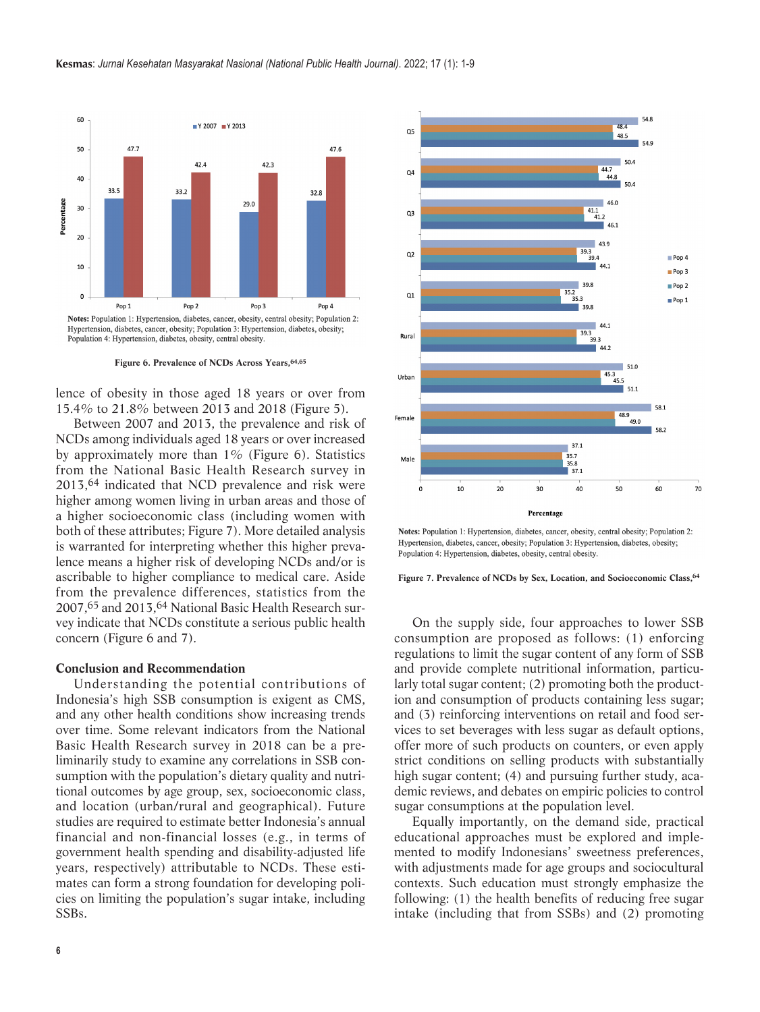<span id="page-5-0"></span>

**Figure 6. Prevalence of NCDs Across Years[,64,65](#page-8-0)**

lence of obesity in those aged 18 years or over from 15.4% to 21.8% between 2013 and 2018 [\(Figure 5\)](#page-4-0).

Between 2007 and 2013, the prevalence and risk of NCDs among individuals aged 18 years or over increased by approximately more than  $1\%$  [\(Figure 6\)](#page-5-0). Statistics from the National Basic Health Research survey in 2013,[64](#page-8-0) indicated that NCD prevalence and risk were higher among women living in urban areas and those of a higher socioeconomic class (including women with both of these attributes; [Figure 7\)](#page-5-0). More detailed analysis is warranted for interpreting whether this higher prevalence means a higher risk of developing NCDs and/or is ascribable to higher compliance to medical care. Aside from the prevalence differences, statistics from the 2007[,65](#page-8-0) and 2013[,64](#page-8-0) National Basic Health Research survey indicate that NCDs constitute a serious public health concern [\(Figure 6](#page-5-0) and [7\)](#page-5-0).

# **Conclusion and Recommendation**

Understanding the potential contributions of Indonesia's high SSB consumption is exigent as CMS, and any other health conditions show increasing trends over time. Some relevant indicators from the National Basic Health Research survey in 2018 can be a preliminarily study to examine any correlations in SSB consumption with the population's dietary quality and nutritional outcomes by age group, sex, socioeconomic class, and location (urban/rural and geographical). Future studies are required to estimate better Indonesia's annual financial and non-financial losses (e.g., in terms of govern ment health spending and disability-adjusted life years, respectively) attributable to NCDs. These estimates can form a strong foundation for developing policies on limiting the population's sugar intake, including SSBs.



Notes: Population 1: Hypertension, diabetes, cancer, obesity, central obesity; Population 2: Hypertension, diabetes, cancer, obesity; Population 3: Hypertension, diabetes, obesity; Population 4: Hypertension, diabetes, obesity, central obesity.

#### **Figure 7. Prevalence of NCDs by Sex, Location, and Socioeconomic Class[,64](#page-8-0)**

On the supply side, four approaches to lower SSB consumption are proposed as follows: (1) enforcing regulations to limit the sugar content of any form of SSB and provide complete nutritional information, particularly total sugar content; (2) promoting both the production and consumption of products containing less sugar; and  $(3)$  reinforcing interventions on retail and food services to set beverages with less sugar as default options, offer more of such products on counters, or even apply strict conditions on selling products with substantially high sugar content; (4) and pursuing further study, academic reviews, and debates on empiric policies to control sugar consumptions at the population level.

Equally importantly, on the demand side, practical educational approaches must be explored and implemented to modify Indonesians' sweetness preferences, with adjustments made for age groups and sociocultural contexts. Such education must strongly emphasize the following: (1) the health benefits of reducing free sugar intake (including that from SSBs) and (2) promoting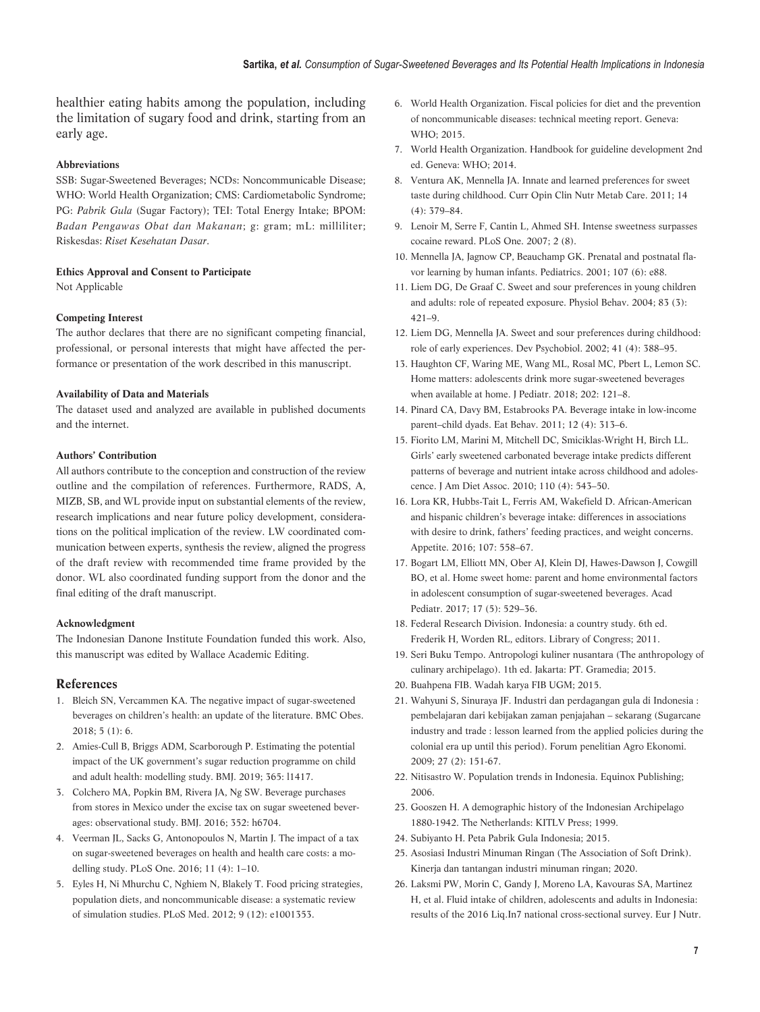<span id="page-6-0"></span>healthier eating habits among the population, including the limitation of sugary food and drink, starting from an early age.

#### **Abbreviations**

SSB: Sugar-Sweetened Beverages; NCDs: Noncommunicable Disease; WHO: World Health Organization; CMS: Cardiometabolic Syndrome; PG: *Pabrik Gula* (Sugar Factory); TEI: Total Energy Intake; BPOM: *Badan Pengawas Obat dan Makanan*; g: gram; mL: milliliter; Riskesdas: *Riset Kesehatan Dasar*.

# **Ethics Approval and Consent to Participate**

Not Applicable

### **Competing Interest**

The author declares that there are no significant competing financial, professional, or personal interests that might have affected the performance or presentation of the work described in this manuscript.

## **Availability of Data and Materials**

The dataset used and analyzed are available in published documents and the internet.

### **Authors' Contribution**

All authors contribute to the conception and construction of the review outline and the compilation of references. Furthermore, RADS, A, MIZB, SB, and WL provide input on substantial elements of the review, research implications and near future policy development, considerations on the political implication of the review. LW coordinated communication between experts, synthesis the review, aligned the progress of the draft review with recommended time frame provided by the donor. WL also coordinated funding support from the donor and the final editing of the draft manuscript.

# **Acknowledgment**

The Indonesian Danone Institute Foundation funded this work. Also, this manuscript was edited by Wallace Academic Editing.

## **References**

- 1. [Bleich SN, Vercammen KA. The negative impact of sugar-sweetened](https://doi.org/10.1186/s40608-017-0178-9) [beverages on children's health: an update of the literature. BMC Obes.](https://doi.org/10.1186/s40608-017-0178-9) [2018; 5 \(1\): 6.](https://doi.org/10.1186/s40608-017-0178-9)
- 2. [Amies-Cull B, Briggs ADM, Scarborough P. Estimating the potential](https://doi.org/10.1136/bmj.l1417) [impact of the UK government's sugar reduction programme on child](https://doi.org/10.1136/bmj.l1417) [and adult health: modelling study. BMJ. 2019; 365: l1417.](https://doi.org/10.1136/bmj.l1417)
- 3. [Colchero MA, Popkin BM, Rivera JA, Ng SW. Beverage purchases](https://doi.org/10.1136/bmj.h6704) [from stores in Mexico under the excise tax on sugar sweetened bever](https://doi.org/10.1136/bmj.h6704)[ages: observational study. BMJ. 2016; 352: h6704.](https://doi.org/10.1136/bmj.h6704)
- 4. [Veerman JL, Sacks G, Antonopoulos N, Martin J. The impact of a tax](https://doi.org/10.1371/journal.pone.0151460) [on sugar-sweetened beverages on health and health care costs: a mo](https://doi.org/10.1371/journal.pone.0151460)  delling study. PLoS One. 2016; 11 (4): 1-10.
- 5. [Eyles H, Ni Mhurchu C, Nghiem N, Blakely T. Food pricing strategies,](https://doi.org/10.1371/journal.pmed.1001353) [population diets, and noncommunicable disease: a systematic review](https://doi.org/10.1371/journal.pmed.1001353) [of simulation studies. PLoS Med. 2012; 9 \(12\): e1001353.](https://doi.org/10.1371/journal.pmed.1001353)
- 6. [World Health Organization. Fiscal policies for diet and the prevention](https://www.who.int/publications/i/item/9789241511247) [of noncommunicable diseases: technical meeting report. Geneva:](https://www.who.int/publications/i/item/9789241511247) [WHO; 2015.](https://www.who.int/publications/i/item/9789241511247)
- 7. [World Health Organization. Handbook for guideline development 2nd](https://www.who.int/publications/i/item/9789241548960) [ed. Geneva: WHO; 2014.](https://www.who.int/publications/i/item/9789241548960)
- 8. [Ventura AK, Mennella JA. Innate and learned preferences for sweet](https://journals.lww.com/co-clinicalnutrition/Abstract/2011/07000/Innate_and_learned_preferences_for_sweet_taste.12.aspx) [taste during childhood. Curr Opin Clin Nutr Metab Care. 2011; 14](https://journals.lww.com/co-clinicalnutrition/Abstract/2011/07000/Innate_and_learned_preferences_for_sweet_taste.12.aspx) [\(4\): 379–84.](https://journals.lww.com/co-clinicalnutrition/Abstract/2011/07000/Innate_and_learned_preferences_for_sweet_taste.12.aspx)
- 9. [Lenoir M, Serre F, Cantin L, Ahmed SH. Intense sweetness surpasses]( https://doi.org/10.1371/journal.pone.0000698) [cocaine reward. PLoS One. 2007; 2 \(8\).]( https://doi.org/10.1371/journal.pone.0000698)
- 10. [Mennella JA, Jagnow CP, Beauchamp GK. Prenatal and postnatal fla](https://doi.org/10.1542/peds.107.6.e88)[vor learning by human infants. Pediatrics. 2001; 107 \(6\): e88.](https://doi.org/10.1542/peds.107.6.e88)
- 11. [Liem DG, De Graaf C. Sweet and sour preferences in young children](https://doi.org/10.1016/j.physbeh.2004.08.028) [and adults: role of repeated exposure. Physiol Behav. 2004; 83 \(3\):](https://doi.org/10.1016/j.physbeh.2004.08.028)  $421-9$
- 12. [Liem DG, Mennella JA. Sweet and sour preferences during childhood:](https://doi.org/10.1002/dev.10067) [role of early experiences. Dev Psychobiol. 2002; 41 \(4\): 388–95.](https://doi.org/10.1002/dev.10067)
- 13. [Haughton CF, Waring ME, Wang ML, Rosal MC, Pbert L, Lemon SC.](https://doi.org/10.1016/j.jpeds.2018.06.046) [Home matters: adolescents drink more sugar-sweetened beverages](https://doi.org/10.1016/j.jpeds.2018.06.046) [when available at home. J Pediatr. 2018; 202: 121–8.](https://doi.org/10.1016/j.jpeds.2018.06.046)
- 14. [Pinard CA, Davy BM, Estabrooks PA. Beverage intake in low-income](https://doi.org/10.1016/j.eatbeh.2011.07.012) [parent–child dyads. Eat Behav. 2011; 12 \(4\): 313–6.](https://doi.org/10.1016/j.eatbeh.2011.07.012)
- 15. [Fiorito LM, Marini M, Mitchell DC, Smiciklas-Wright H, Birch LL.](https://doi.org/10.1016/j.jada.2009.12.027) [Girls' early sweetened carbonated beverage intake predicts different](https://doi.org/10.1016/j.jada.2009.12.027) [patterns of beverage and nutrient intake across childhood and adoles](https://doi.org/10.1016/j.jada.2009.12.027)[cence. J Am Diet Assoc. 2010; 110 \(4\): 543–50.](https://doi.org/10.1016/j.jada.2009.12.027)
- 16. [Lora KR, Hubbs-Tait L, Ferris AM, Wakefield D. African-American](https://doi.org/10.1016/j.appet.2016.09.012) [and hispanic children's beverage intake: differences in associations](https://doi.org/10.1016/j.appet.2016.09.012) [with desire to drink, fathers' feeding practices, and weight concerns.](https://doi.org/10.1016/j.appet.2016.09.012) [Appetite. 2016; 107: 558–67.](https://doi.org/10.1016/j.appet.2016.09.012)
- 17. [Bogart LM, Elliott MN, Ober AJ, Klein DJ, Hawes-Dawson J, Cowgill](https://doi.org/doi: 10.1016/j.acap.2017.01.015) [BO, et al. Home sweet home: parent and home environmental factors](https://doi.org/doi: 10.1016/j.acap.2017.01.015) [in adolescent consumption of sugar-sweetened beverages. Acad](https://doi.org/doi: 10.1016/j.acap.2017.01.015) [Pediatr. 2017; 17 \(5\): 529–36.](https://doi.org/doi: 10.1016/j.acap.2017.01.015)
- 18. Federal Research Division. Indonesia: a country study. 6th ed. Frederik H, Worden RL, editors. Library of Congress; 2011.
- 19. Seri Buku Tempo. Antropologi kuliner nusantara (The anthropology of culinary archipelago). 1th ed. Jakarta: PT. Gramedia; 2015.
- 20. [Buahpena FIB. Wadah karya FIB UGM; 2015.](https://buahpena.fib.ugm.ac.id/?p=103 )
- 21. [Wahyuni S, Sinuraya JF. Industri dan perdagangan gula di Indonesia :](http://repository.pertanian.go.id/bitstream/handle/123456789/5321/INDUSTRI%20DAN%20PERDAGANGAN%20GULA%20DI%20INDONESIA-%20PEMBELAJARAN%20DARI%20KEBIJAKAN%20ZAMAN%20PENJAJAHAN%20%E2%80%93%20SEKARANG.pdf?sequence=1) [pembelajaran dari kebijakan zaman penjajahan – sekarang \(Sugarcane](http://repository.pertanian.go.id/bitstream/handle/123456789/5321/INDUSTRI%20DAN%20PERDAGANGAN%20GULA%20DI%20INDONESIA-%20PEMBELAJARAN%20DARI%20KEBIJAKAN%20ZAMAN%20PENJAJAHAN%20%E2%80%93%20SEKARANG.pdf?sequence=1) [industry and trade : lesson learned from the applied policies during the](http://repository.pertanian.go.id/bitstream/handle/123456789/5321/INDUSTRI%20DAN%20PERDAGANGAN%20GULA%20DI%20INDONESIA-%20PEMBELAJARAN%20DARI%20KEBIJAKAN%20ZAMAN%20PENJAJAHAN%20%E2%80%93%20SEKARANG.pdf?sequence=1) [colonial era up until this period\). Forum penelitian Agro Ekonomi.](http://repository.pertanian.go.id/bitstream/handle/123456789/5321/INDUSTRI%20DAN%20PERDAGANGAN%20GULA%20DI%20INDONESIA-%20PEMBELAJARAN%20DARI%20KEBIJAKAN%20ZAMAN%20PENJAJAHAN%20%E2%80%93%20SEKARANG.pdf?sequence=1) [2009; 27 \(2\): 151-67.](http://repository.pertanian.go.id/bitstream/handle/123456789/5321/INDUSTRI%20DAN%20PERDAGANGAN%20GULA%20DI%20INDONESIA-%20PEMBELAJARAN%20DARI%20KEBIJAKAN%20ZAMAN%20PENJAJAHAN%20%E2%80%93%20SEKARANG.pdf?sequence=1)
- 22. [Nitisastro W. Population trends in Indonesia. Equinox Publishing;](https://ecommons.cornell.edu/handle/1813/53494 ) [2006.](https://ecommons.cornell.edu/handle/1813/53494 )
- 23. [Gooszen H. A demographic history of the Indonesian Archipelago](https://pustaka.pu.go.id/biblio/a-demographic-history-of-the-indonesian-archipelago-1880-1942/EK97L) [1880-1942. The Netherlands: KITLV Press; 1999.](https://pustaka.pu.go.id/biblio/a-demographic-history-of-the-indonesian-archipelago-1880-1942/EK97L)
- 24. [Subiyanto H. Peta Pabrik Gula Indonesia; 2015.](http://pabrikgula-baru.blogspot.com/p/p.html)
- 25. Asosiasi Industri Minuman Ringan (The Association of Soft Drink). Kinerja dan tantangan industri minuman ringan; 2020.
- 26. [Laksmi PW, Morin C, Gandy J, Moreno LA, Kavouras SA, Martinez](http://dx.doi.org/10.1007/s00394-018-1740-z) [H, et al. Fluid intake of children, adolescents and adults in Indonesia:](http://dx.doi.org/10.1007/s00394-018-1740-z) [results of the 2016 Liq.In7 national cross-sectional survey. Eur J Nutr.](http://dx.doi.org/10.1007/s00394-018-1740-z)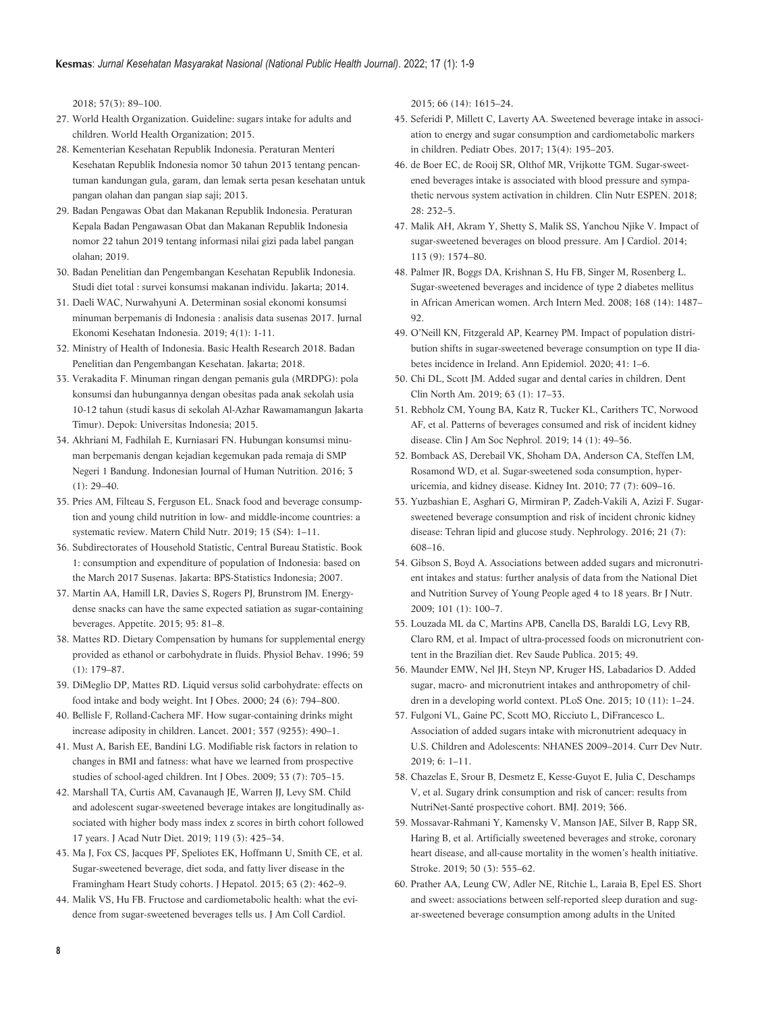<span id="page-7-0"></span>[2018; 57\(3\): 89–100.](http://dx.doi.org/10.1007/s00394-018-1740-z)

- 27. [World Health Organization. Guideline: sugars intake for adults and](https://www.who.int/publications/i/item/9789241549028 ) [children. World Health Organization; 2015.](https://www.who.int/publications/i/item/9789241549028 )
- 28. [Kementerian Kesehatan Republik Indonesia. Peraturan Menteri](https://peraturan.bpk.go.id/Home/Details/172111/permenkes-no-30-tahun-2013) [Kesehatan Republik Indonesia nomor 30 tahun 2013 tentang pencan](https://peraturan.bpk.go.id/Home/Details/172111/permenkes-no-30-tahun-2013)[tuman kandungan gula, garam, dan lemak serta pesan kesehatan untuk](https://peraturan.bpk.go.id/Home/Details/172111/permenkes-no-30-tahun-2013) [pangan olahan dan pangan siap saji; 2013.](https://peraturan.bpk.go.id/Home/Details/172111/permenkes-no-30-tahun-2013)
- 29. [Badan Pengawas Obat dan Makanan Republik Indonesia. Peraturan](https://standarpangan.pom.go.id/dokumen/peraturan/2019/PBPOM_Nomor_22_Tahun_2019_tentang_ING.pdf) [Kepala Badan Pengawasan Obat dan Makanan Republik Indonesia](https://standarpangan.pom.go.id/dokumen/peraturan/2019/PBPOM_Nomor_22_Tahun_2019_tentang_ING.pdf) [nomor 22 tahun 2019 tentang informasi nilai gizi pada label pangan](https://standarpangan.pom.go.id/dokumen/peraturan/2019/PBPOM_Nomor_22_Tahun_2019_tentang_ING.pdf) [olahan; 2019.](https://standarpangan.pom.go.id/dokumen/peraturan/2019/PBPOM_Nomor_22_Tahun_2019_tentang_ING.pdf)
- 30. [Badan Penelitian dan Pengembangan Kesehatan Republik Indonesia.](https://www.pusat2.litbang.kemkes.go.id/2015/04/30/buku-studi-diet-total-survei-konsumsi-makanan-individu/ ) [Studi diet total : survei konsumsi makanan individu. Jakarta; 2014.](https://www.pusat2.litbang.kemkes.go.id/2015/04/30/buku-studi-diet-total-survei-konsumsi-makanan-individu/ )
- 31. [Daeli WAC, Nurwahyuni A. Determinan sosial ekonomi konsumsi](https://journal.fkm.ui.ac.id/jurnal-eki/article/view/3066 ) [minuman berpemanis di Indonesia : analisis data susenas 2017. Jurnal](https://journal.fkm.ui.ac.id/jurnal-eki/article/view/3066 ) [Ekonomi Kesehatan Indonesia. 2019; 4\(1\): 1-11.](https://journal.fkm.ui.ac.id/jurnal-eki/article/view/3066 )
- 32. [Ministry of Health of Indonesia. Basic Health Research 2018. Badan](http://repository.litbang.kemkes.go.id/id/eprint/3514) [Penelitian dan Pengembangan Kesehatan. Jakarta; 2018.](http://repository.litbang.kemkes.go.id/id/eprint/3514)
- 33. [Verakadita F. Minuman ringan dengan pemanis gula \(MRDPG\): pola](https://perpustakaan.fk.ui.ac.id/opac/index.php?p=show_detail&id=19412&keywords=) [konsumsi dan hubungannya dengan obesitas pada anak sekolah usia](https://perpustakaan.fk.ui.ac.id/opac/index.php?p=show_detail&id=19412&keywords=) [10-12 tahun \(studi kasus di sekolah Al-Azhar Rawamamangun Jakarta](https://perpustakaan.fk.ui.ac.id/opac/index.php?p=show_detail&id=19412&keywords=) [Timur\). Depok: Universitas Indonesia; 2015.](https://perpustakaan.fk.ui.ac.id/opac/index.php?p=show_detail&id=19412&keywords=)
- 34. [Akhriani M, Fadhilah E, Kurniasari FN. Hubungan konsumsi minu](https://doi.org/10.21776/ub.ijhn.2016.003.01.4 )[man berpemanis dengan kejadian kegemukan pada remaja di SMP](https://doi.org/10.21776/ub.ijhn.2016.003.01.4 ) [Negeri 1 Bandung. Indonesian Journal of Human Nutrition. 2016; 3](https://doi.org/10.21776/ub.ijhn.2016.003.01.4 )  $(1)$ : 29–40.
- 35. [Pries AM, Filteau S, Ferguson EL. Snack food and beverage consump](https://doi.org/10.1111/mcn.12729 )[tion and young child nutrition in low- and middle-income countries: a](https://doi.org/10.1111/mcn.12729 ) [systematic review. Matern Child Nutr. 2019; 15 \(S4\): 1–11.](https://doi.org/10.1111/mcn.12729 )
- 36. [Subdirectorates of Household Statistic, Central Bureau Statistic. Book](https://media.neliti.com/media/publications/50564-ID-pengeluaran-untuk-konsumsi-penduduk-indonesia-2007.pdf ) [1: consumption and expenditure of population of Indonesia: based on](https://media.neliti.com/media/publications/50564-ID-pengeluaran-untuk-konsumsi-penduduk-indonesia-2007.pdf ) [the March 2017 Susenas. Jakarta: BPS-Statistics Indonesia; 2007.](https://media.neliti.com/media/publications/50564-ID-pengeluaran-untuk-konsumsi-penduduk-indonesia-2007.pdf )
- 37. [Martin AA, Hamill LR, Davies S, Rogers PJ, Brunstrom JM. Energy](http://dx.doi.org/10.1016/j.appet.2015.06.007)[dense snacks can have the same expected satiation as sugar-containing](http://dx.doi.org/10.1016/j.appet.2015.06.007) [beverages. Appetite. 2015; 95: 81–8.](http://dx.doi.org/10.1016/j.appet.2015.06.007)
- 38. [Mattes RD. Dietary Compensation by humans for supplemental energy](https://doi.org/10.1016/0031-9384(95)02007-1) [provided as ethanol or carbohydrate in fluids. Physiol Behav. 1996; 59](https://doi.org/10.1016/0031-9384(95)02007-1) [\(1\): 179–87.](https://doi.org/10.1016/0031-9384(95)02007-1)
- 39. [DiMeglio DP, Mattes RD. Liquid versus solid carbohydrate: effects on](https://doi.org/10.1038/sj.ijo.0801229) [food intake and body weight. Int J Obes. 2000; 24 \(6\): 794–800.](https://doi.org/10.1038/sj.ijo.0801229)
- 40. [Bellisle F, Rolland-Cachera MF. How sugar-containing drinks might](https://doi.org/10.1016/S0140-6736(00)04034-4) [increase adiposity in children. Lancet. 2001; 357 \(9255\): 490–1.](https://doi.org/10.1016/S0140-6736(00)04034-4)
- 41. [Must A, Barish EE, Bandini LG. Modifiable risk factors in relation to](https://doi.org/10.1038/ijo.2009.60) [changes in BMI and fatness: what have we learned from prospective](https://doi.org/10.1038/ijo.2009.60) [studies of school-aged children. Int J Obes. 2009; 33 \(7\): 705–15.](https://doi.org/10.1038/ijo.2009.60)
- 42. [Marshall TA, Curtis AM, Cavanaugh JE, Warren JJ, Levy SM. Child](https://doi.org/10.1016/j.jand.2018.11.003) [and adolescent sugar-sweetened beverage intakes are longitudinally as](https://doi.org/10.1016/j.jand.2018.11.003)[sociated with higher body mass index z scores in birth cohort followed](https://doi.org/10.1016/j.jand.2018.11.003) [17 years. J Acad Nutr Diet. 2019; 119 \(3\): 425–34.](https://doi.org/10.1016/j.jand.2018.11.003)
- 43. [Ma J, Fox CS, Jacques PF, Speliotes EK, Hoffmann U, Smith CE, et al.](https://doi.org/10.1016/j.jhep.2015.03.032) [Sugar-sweetened beverage, diet soda, and fatty liver disease in the](https://doi.org/10.1016/j.jhep.2015.03.032) [Framingham Heart Study cohorts. J Hepatol. 2015; 63 \(2\): 462–9.](https://doi.org/10.1016/j.jhep.2015.03.032)
- 44. [Malik VS, Hu FB. Fructose and cardiometabolic health: what the evi](https://doi.org/10.1016/j.jacc.2015.08.025)[dence from sugar-sweetened beverages tells us. J Am Coll Cardiol.](https://doi.org/10.1016/j.jacc.2015.08.025)

[2015; 66 \(14\): 1615–24.](https://doi.org/10.1016/j.jacc.2015.08.025)

- 45. [Seferidi P, Millett C, Laverty AA. Sweetened beverage intake in associ](https://doi.org/10.1111/ijpo.12194)[ation to energy and sugar consumption and cardiometabolic markers](https://doi.org/10.1111/ijpo.12194) [in children. Pediatr Obes. 2017; 13\(4\): 195–203.](https://doi.org/10.1111/ijpo.12194)
- 46. [de Boer EC, de Rooij SR, Olthof MR, Vrijkotte TGM. Sugar-sweet](https://doi.org/10.1016/j.clnesp.2018.08.020)[ened beverages intake is associated with blood pressure and sympa](https://doi.org/10.1016/j.clnesp.2018.08.020)[thetic nervous system activation in children. Clin Nutr ESPEN. 2018;](https://doi.org/10.1016/j.clnesp.2018.08.020) [28: 232–5.](https://doi.org/10.1016/j.clnesp.2018.08.020)
- 47. [Malik AH, Akram Y, Shetty S, Malik SS, Yanchou Njike V. Impact of](https://doi.org/10.1016/j.amjcard.2014.01.437) [sugar-sweetened beverages on blood pressure. Am J Cardiol. 2014;](https://doi.org/10.1016/j.amjcard.2014.01.437)  $113 (9) \cdot 1574 - 80$
- 48. [Palmer JR, Boggs DA, Krishnan S, Hu FB, Singer M, Rosenberg L.](https://doi.org/10.1001/archinte.168.14.1487) [Sugar-sweetened beverages and incidence of type 2 diabetes mellitus](https://doi.org/10.1001/archinte.168.14.1487) [in African American women. Arch Intern Med. 2008; 168 \(14\): 1487–](https://doi.org/10.1001/archinte.168.14.1487)  $92$
- 49. [O'Neill KN, Fitzgerald AP, Kearney PM. Impact of population distri](https://doi.org/10.1016/j.annepidem.2019.12.007)[bution shifts in sugar-sweetened beverage consumption on type II dia](https://doi.org/10.1016/j.annepidem.2019.12.007)[betes incidence in Ireland. Ann Epidemiol. 2020; 41: 1–6.](https://doi.org/10.1016/j.annepidem.2019.12.007)
- 50. [Chi DL, Scott JM. Added sugar and dental caries in children. Dent](https://doi.org/10.1016/j.cden.2018.08.003) [Clin North Am. 2019; 63 \(1\): 17–33.](https://doi.org/10.1016/j.cden.2018.08.003)
- 51. [Rebholz CM, Young BA, Katz R, Tucker KL, Carithers TC, Norwood](https://doi.org/10.2215/CJN.06380518) [AF, et al. Patterns of beverages consumed and risk of incident kidney](https://doi.org/10.2215/CJN.06380518) [disease. Clin J Am Soc Nephrol. 2019; 14 \(1\): 49–56.](https://doi.org/10.2215/CJN.06380518)
- 52. [Bomback AS, Derebail VK, Shoham DA, Anderson CA, Steffen LM,](https://doi.org/10.1038/ki.2009.500) [Rosamond WD, et al. Sugar-sweetened soda consumption, hyper](https://doi.org/10.1038/ki.2009.500)[uricemia, and kidney disease. Kidney Int. 2010; 77 \(7\): 609–16.](https://doi.org/10.1038/ki.2009.500)
- 53. [Yuzbashian E, Asghari G, Mirmiran P, Zadeh-Vakili A, Azizi F. Sugar](https://doi.org/10.1111/nep.12646)[sweetened beverage consumption and risk of incident chronic kidney](https://doi.org/10.1111/nep.12646) [disease: Tehran lipid and glucose study. Nephrology. 2016; 21 \(7\):](https://doi.org/10.1111/nep.12646) [608–16.](https://doi.org/10.1111/nep.12646)
- 54. [Gibson S, Boyd A. Associations between added sugars and micronutri](https://doi.org/10.1017/S0007114508981484)[ent intakes and status: further analysis of data from the National Diet](https://doi.org/10.1017/S0007114508981484) [and Nutrition Survey of Young People aged 4 to 18 years. Br J Nutr.](https://doi.org/10.1017/S0007114508981484) [2009; 101 \(1\): 100–7.](https://doi.org/10.1017/S0007114508981484)
- 55. [Louzada ML da C, Martins APB, Canella DS, Baraldi LG, Levy RB,](https://doi.org/10.1590/S0034-8910.2015049006211) [Claro RM, et al. Impact of ultra-processed foods on micronutrient con](https://doi.org/10.1590/S0034-8910.2015049006211)[tent in the Brazilian diet. Rev Saude Publica. 2015; 49.](https://doi.org/10.1590/S0034-8910.2015049006211)
- 56. [Maunder EMW, Nel JH, Steyn NP, Kruger HS, Labadarios D. Added](https://doi.org/10.1371/journal.pone.0142059) [sugar, macro- and micronutrient intakes and anthropometry of chil](https://doi.org/10.1371/journal.pone.0142059)[dren in a developing world context. PLoS One. 2015; 10 \(11\): 1–24.](https://doi.org/10.1371/journal.pone.0142059)
- 57. [Fulgoni VL, Gaine PC, Scott MO, Ricciuto L, DiFrancesco L.](https://doi.org/10.1093/cdn/nzz126) [Association of added sugars intake with micronutrient adequacy in](https://doi.org/10.1093/cdn/nzz126) [U.S. Children and Adolescents: NHANES 2009–2014. Curr Dev Nutr.](https://doi.org/10.1093/cdn/nzz126) [2019; 6: 1–11.](https://doi.org/10.1093/cdn/nzz126)
- 58. [Chazelas E, Srour B, Desmetz E, Kesse-Guyot E, Julia C, Deschamps](https://doi.org/10.1136/bmj.l2408) [V, et al. Sugary drink consumption and risk of cancer: results from](https://doi.org/10.1136/bmj.l2408) [NutriNet-Santé prospective cohort. BMJ. 2019; 366.](https://doi.org/10.1136/bmj.l2408)
- 59. [Mossavar-Rahmani Y, Kamensky V, Manson JAE, Silver B, Rapp SR,](https://doi.org/10.1161/STROKEAHA.118.023100) [Haring B, et al. Artificially sweetened beverages and stroke, coronary](https://doi.org/10.1161/STROKEAHA.118.023100) [heart disease, and all-cause mortality in the women's health initiative.](https://doi.org/10.1161/STROKEAHA.118.023100) [Stroke. 2019; 50 \(3\): 555–62.](https://doi.org/10.1161/STROKEAHA.118.023100)
- 60. [Prather AA, Leung CW, Adler NE, Ritchie L, Laraia B, Epel ES. Short](https://doi.org/10.1016/j.sleh.2016.09.007) [and sweet: associations between self-reported sleep duration and sug](https://doi.org/10.1016/j.sleh.2016.09.007)[ar-sweetened beverage consumption among adults in the United](https://doi.org/10.1016/j.sleh.2016.09.007)